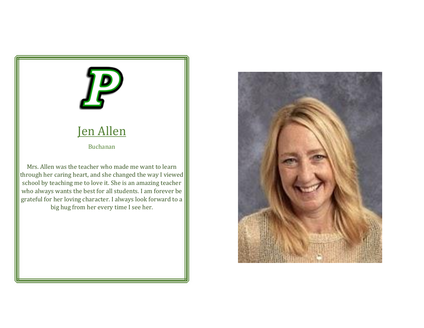

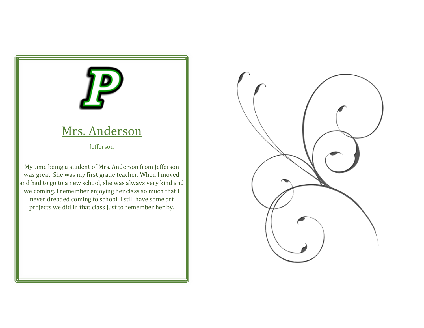## Mrs. Anderson

Jefferson

My time being a student of Mrs. Anderson from Jefferson was great. She was my first grade teacher. When I moved and had to go to a new school, she was always very kind and welcoming. I remember enjoying her class so much that I never dreaded coming to school. I still have some art projects we did in that class just to remember her by.

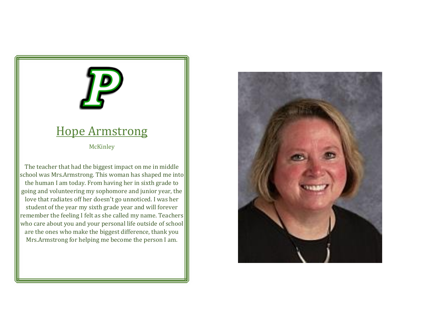#### Hope Armstrong

**McKinley** 

The teacher that had the biggest impact on me in middle school was Mrs.Armstrong. This woman has shaped me into the human I am today. From having her in sixth grade to going and volunteering my sophomore and junior year, the love that radiates off her doesn't go unnoticed. I was her student of the year my sixth grade year and will forever remember the feeling I felt as she called my name. Teachers who care about you and your personal life outside of school are the ones who make the biggest difference, thank you Mrs.Armstrong for helping me become the person I am.

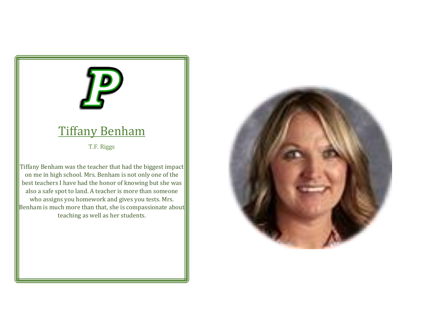#### Tiffany Benham

T.F. Riggs

Tiffany Benham was the teacher that had the biggest impact on me in high school. Mrs. Benham is not only one of the best teachers I have had the honor of knowing but she was also a safe spot to land. A teacher is more than someone who assigns you homework and gives you tests. Mrs. Benham is much more than that, she is compassionate about teaching as well as her students.

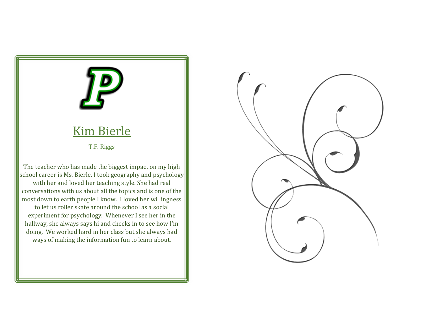#### Kim Bierle

T.F. Riggs

The teacher who has made the biggest impact on my high school career is Ms. Bierle. I took geography and psychology with her and loved her teaching style. She had real conversations with us about all the topics and is one of the most down to earth people I know. I loved her willingness to let us roller skate around the school as a social experiment for psychology. Whenever I see her in the hallway, she always says hi and checks in to see how I'm doing. We worked hard in her class but she always had ways of making the information fun to learn about.

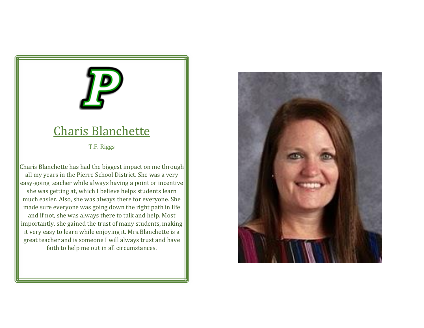#### Charis Blanchette

T.F. Riggs

Charis Blanchette has had the biggest impact on me through all my years in the Pierre School District. She was a very easy-going teacher while always having a point or incentive she was getting at, which I believe helps students learn much easier. Also, she was always there for everyone. She made sure everyone was going down the right path in life and if not, she was always there to talk and help. Most importantly, she gained the trust of many students, making it very easy to learn while enjoying it. Mrs.Blanchette is a great teacher and is someone I will always trust and have faith to help me out in all circumstances.

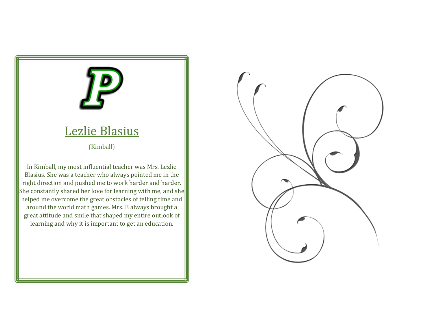## Lezlie Blasius (Kimball) In Kimball, my most influential teacher was Mrs. Lezlie Blasius. She was a teacher who always pointed me in the right direction and pushed me to work harder and harder. She constantly shared her love for learning with me, and she helped me overcome the great obstacles of telling time and around the world math games. Mrs. B always brought a

great attitude and smile that shaped my entire outlook of learning and why it is important to get an education.

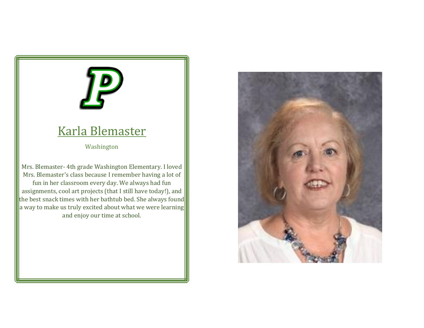## Karla Blemaster

Washington

Mrs. Blemaster- 4th grade Washington Elementary. I loved Mrs. Blemaster's class because I remember having a lot of fun in her classroom every day. We always had fun assignments, cool art projects (that I still have today!), and the best snack times with her bathtub bed. She always found a way to make us truly excited about what we were learning and enjoy our time at school.

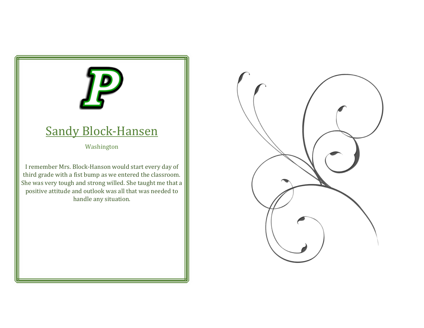#### Sandy Block-Hansen

Washington

I remember Mrs. Block-Hanson would start every day of third grade with a fist bump as we entered the classroom. She was very tough and strong willed. She taught me that a positive attitude and outlook was all that was needed to handle any situation.

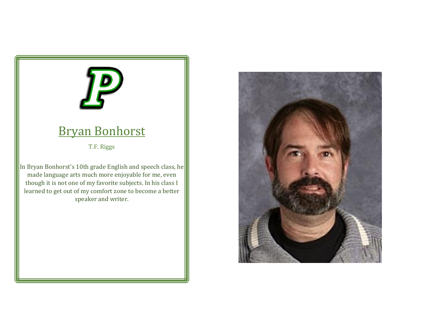#### Bryan Bonhorst

T.F. Riggs

In Bryan Bonhorst's 10th grade English and speech class, he made language arts much more enjoyable for me, even though it is not one of my favorite subjects. In his class I learned to get out of my comfort zone to become a better speaker and writer.

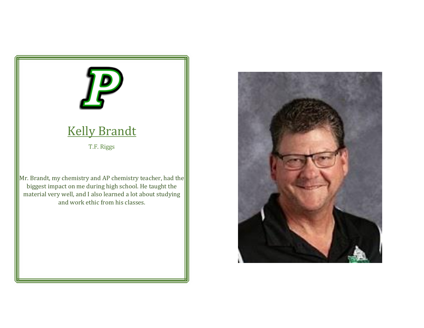

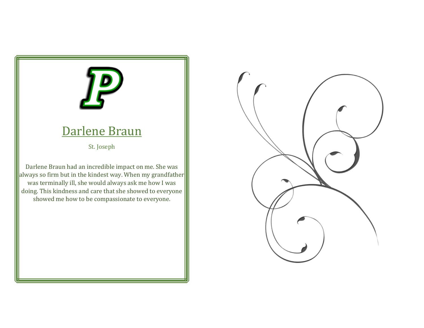#### Darlene Braun

St. Joseph

Darlene Braun had an incredible impact on me. She was always so firm but in the kindest way. When my grandfather was terminally ill, she would always ask me how I was doing. This kindness and care that she showed to everyone showed me how to be compassionate to everyone.

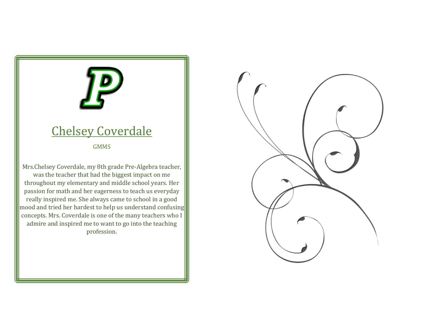#### Chelsey Coverdale

GMMS

Mrs.Chelsey Coverdale, my 8th grade Pre-Algebra teacher, was the teacher that had the biggest impact on me throughout my elementary and middle school years. Her passion for math and her eagerness to teach us everyday really inspired me. She always came to school in a good mood and tried her hardest to help us understand confusing concepts. Mrs. Coverdale is one of the many teachers who I admire and inspired me to want to go into the teaching profession.

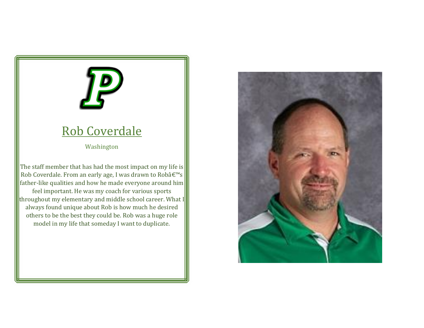#### Rob Coverdale

Washington

The staff member that has had the most impact on my life is Rob Coverdale. From an early age, I was drawn to Robâ $\varepsilon$ <sup>m</sup>s father-like qualities and how he made everyone around him feel important. He was my coach for various sports throughout my elementary and middle school career. What I always found unique about Rob is how much he desired others to be the best they could be. Rob was a huge role model in my life that someday I want to duplicate.

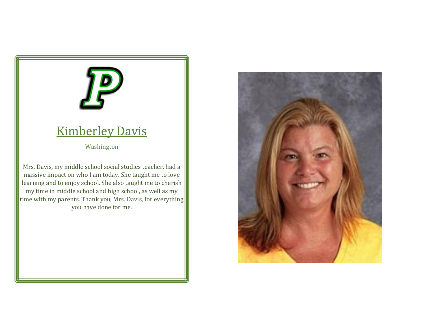# Kimberley Davis

#### Washington

Mrs. Davis, my middle school social studies teacher, had a massive impact on who I am today. She taught me to love learning and to enjoy school. She also taught me to cherish my time in middle school and high school, as well as my time with my parents. Thank you, Mrs. Davis, for everything you have done for me.

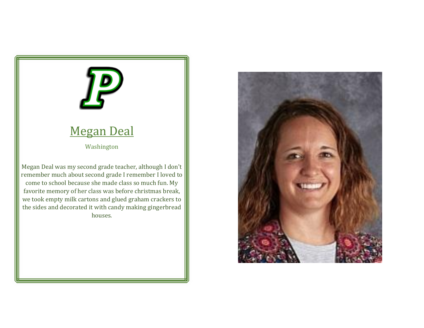# Megan Deal

Washington

Megan Deal was my second grade teacher, although I don't remember much about second grade I remember I loved to come to school because she made class so much fun. My favorite memory of her class was before christmas break, we took empty milk cartons and glued graham crackers to the sides and decorated it with candy making gingerbread houses.

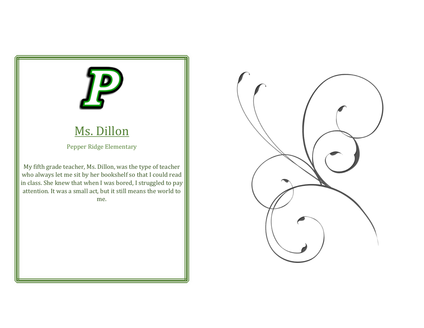

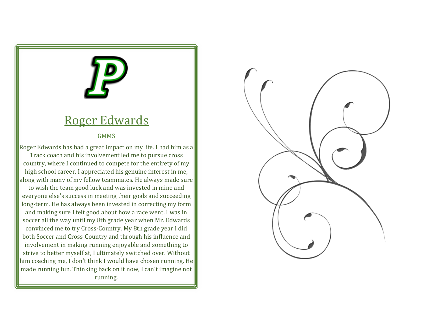#### Roger Edwards

#### GMMS

Roger Edwards has had a great impact on my life. I had him as a Track coach and his involvement led me to pursue cross country, where I continued to compete for the entirety of my high school career. I appreciated his genuine interest in me, along with many of my fellow teammates. He always made sure to wish the team good luck and was invested in mine and everyone else's success in meeting their goals and succeeding long-term. He has always been invested in correcting my form and making sure I felt good about how a race went. I was in soccer all the way until my 8th grade year when Mr. Edwards convinced me to try Cross-Country. My 8th grade year I did both Soccer and Cross-Country and through his influence and involvement in making running enjoyable and something to strive to better myself at, I ultimately switched over. Without him coaching me, I don't think I would have chosen running. He made running fun. Thinking back on it now, I can't imagine not running.

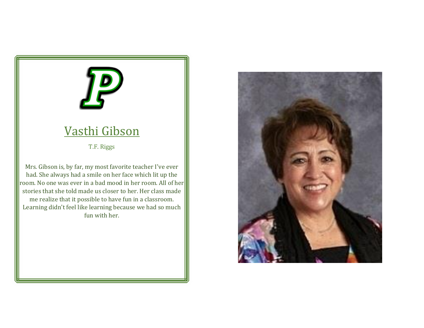## Vasthi Gibson

T.F. Riggs

Mrs. Gibson is, by far, my most favorite teacher I've ever had. She always had a smile on her face which lit up the room. No one was ever in a bad mood in her room. All of her stories that she told made us closer to her. Her class made me realize that it possible to have fun in a classroom. Learning didn't feel like learning because we had so much fun with her.

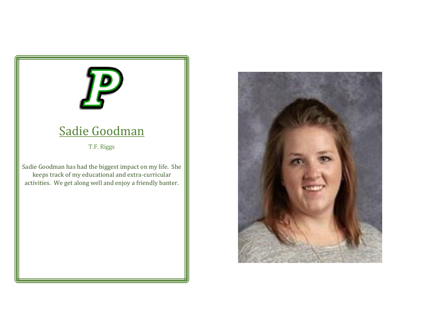# Sadie Goodman T.F. Riggs Sadie Goodman has had the biggest impact on my life. She keeps track of my educational and extra-curricular activities. We get along well and enjoy a friendly banter.

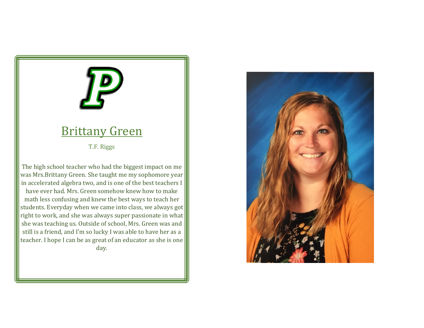## Brittany Green

T.F. Riggs

The high school teacher who had the biggest impact on me was Mrs.Brittany Green. She taught me my sophomore year in accelerated algebra two, and is one of the best teachers I have ever had. Mrs. Green somehow knew how to make math less confusing and knew the best ways to teach her students. Everyday when we came into class, we always got right to work, and she was always super passionate in what she was teaching us. Outside of school, Mrs. Green was and still is a friend, and I'm so lucky I was able to have her as a teacher. I hope I can be as great of an educator as she is one day.

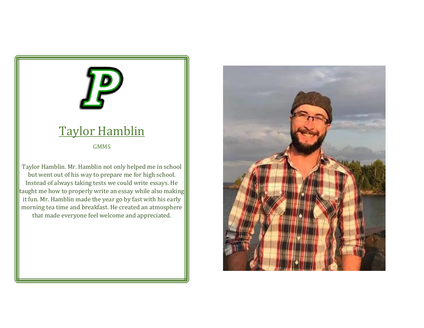#### Taylor Hamblin

GMMS

Taylor Hamblin. Mr. Hamblin not only helped me in school but went out of his way to prepare me for high school. Instead of always taking tests we could write essays. He taught me how to properly write an essay while also making it fun. Mr. Hamblin made the year go by fast with his early morning tea time and breakfast. He created an atmosphere that made everyone feel welcome and appreciated.

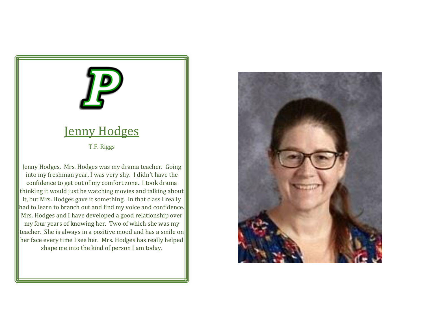#### Jenny Hodges

T.F. Riggs

Jenny Hodges. Mrs. Hodges was my drama teacher. Going into my freshman year, I was very shy. I didn't have the confidence to get out of my comfort zone. I took drama thinking it would just be watching movies and talking about it, but Mrs. Hodges gave it something. In that class I really had to learn to branch out and find my voice and confidence. Mrs. Hodges and I have developed a good relationship over my four years of knowing her. Two of which she was my teacher. She is always in a positive mood and has a smile on her face every time I see her. Mrs. Hodges has really helped shape me into the kind of person I am today.

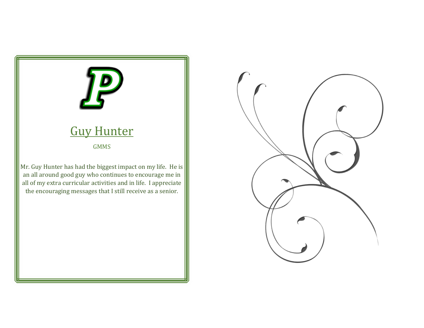

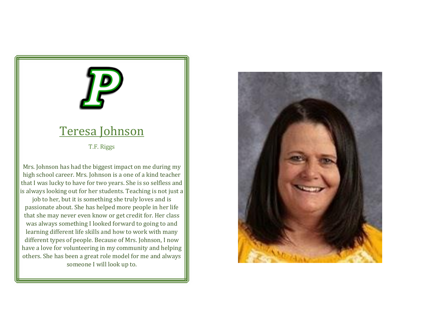#### Teresa Johnson

T.F. Riggs

Mrs. Johnson has had the biggest impact on me during my high school career. Mrs. Johnson is a one of a kind teacher that I was lucky to have for two years. She is so selfless and is always looking out for her students. Teaching is not just a

job to her, but it is something she truly loves and is passionate about. She has helped more people in her life that she may never even know or get credit for. Her class was always something I looked forward to going to and learning different life skills and how to work with many different types of people. Because of Mrs. Johnson, I now have a love for volunteering in my community and helping others. She has been a great role model for me and always someone I will look up to.

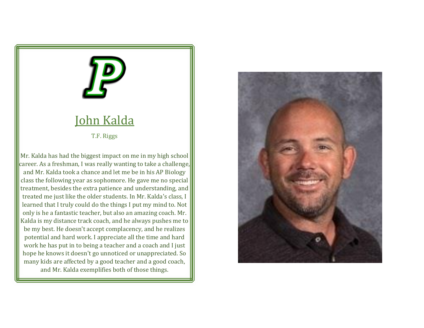

#### John Kalda

T.F. Riggs

Mr. Kalda has had the biggest impact on me in my high school career. As a freshman, I was really wanting to take a challenge, and Mr. Kalda took a chance and let me be in his AP Biology class the following year as sophomore. He gave me no special treatment, besides the extra patience and understanding, and treated me just like the older students. In Mr. Kalda's class, I learned that I truly could do the things I put my mind to. Not only is he a fantastic teacher, but also an amazing coach. Mr. Kalda is my distance track coach, and he always pushes me to be my best. He doesn't accept complacency, and he realizes potential and hard work. I appreciate all the time and hard work he has put in to being a teacher and a coach and I just hope he knows it doesn't go unnoticed or unappreciated. So many kids are affected by a good teacher and a good coach, and Mr. Kalda exemplifies both of those things.

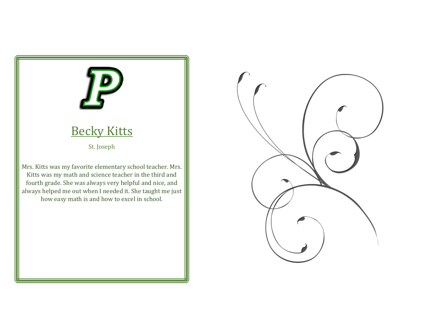

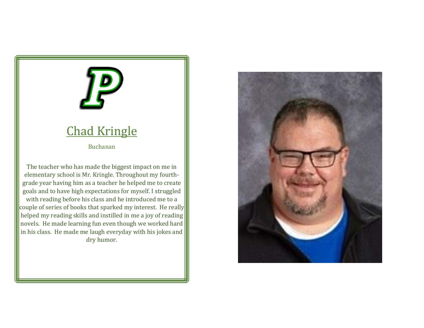## Chad Kringle

Buchanan

The teacher who has made the biggest impact on me in elementary school is Mr. Kringle. Throughout my fourthgrade year having him as a teacher he helped me to create goals and to have high expectations for myself. I struggled with reading before his class and he introduced me to a couple of series of books that sparked my interest. He really helped my reading skills and instilled in me a joy of reading novels. He made learning fun even though we worked hard in his class. He made me laugh everyday with his jokes and dry humor.

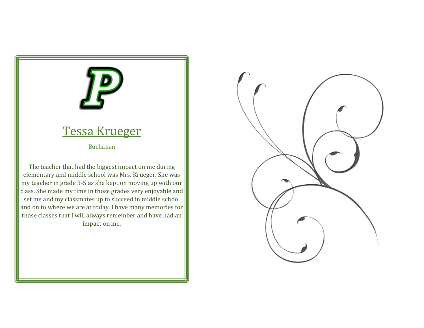## Tessa Krueger Buchanan The teacher that had the biggest impact on me during elementary and middle school was Mrs. Krueger. She was my teacher in grade 3-5 as she kept on moving up with our class. She made my time in those grades very enjoyable and set me and my classmates up to succeed in middle school

and on to where we are at today. I have many memories for those classes that I will always remember and have had an impact on me.

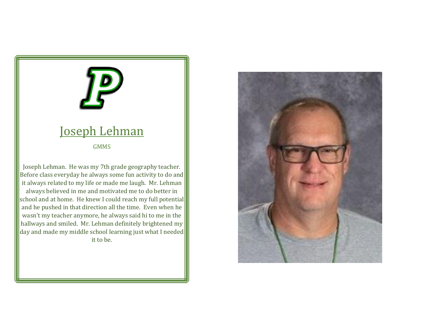#### Joseph Lehman

GMMS

Joseph Lehman. He was my 7th grade geography teacher. Before class everyday he always some fun activity to do and it always related to my life or made me laugh. Mr. Lehman always believed in me and motivated me to do better in school and at home. He knew I could reach my full potential and he pushed in that direction all the time. Even when he wasn't my teacher anymore, he always said hi to me in the hallways and smiled. Mr. Lehman definitely brightened my day and made my middle school learning just what I needed it to be.

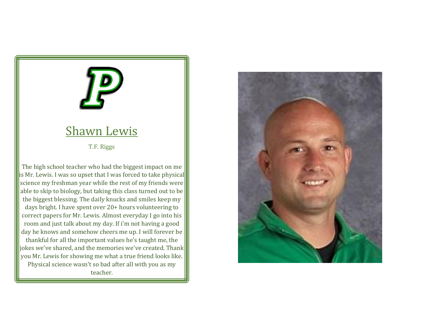#### Shawn Lewis

T.F. Riggs

The high school teacher who had the biggest impact on me is Mr. Lewis. I was so upset that I was forced to take physical science my freshman year while the rest of my friends were able to skip to biology, but taking this class turned out to be the biggest blessing. The daily knucks and smiles keep my days bright. I have spent over 20+ hours volunteering to correct papers for Mr. Lewis. Almost everyday I go into his room and just talk about my day. If i'm not having a good day he knows and somehow cheers me up. I will forever be thankful for all the important values he's taught me, the jokes we've shared, and the memories we've created. Thank you Mr. Lewis for showing me what a true friend looks like. Physical science wasn't so bad after all with you as my teacher.

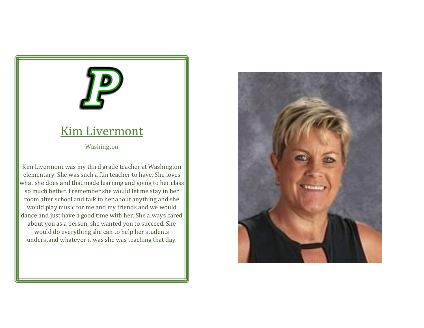#### Kim Livermont

Washington

Kim Livermont was my third grade teacher at Washington elementary. She was such a fun teacher to have. She loves what she does and that made learning and going to her class so much better. I remember she would let me stay in her room after school and talk to her about anything and she would play music for me and my friends and we would dance and just have a good time with her. She always cared about you as a person, she wanted you to succeed. She would do everything she can to help her students understand whatever it was she was teaching that day.

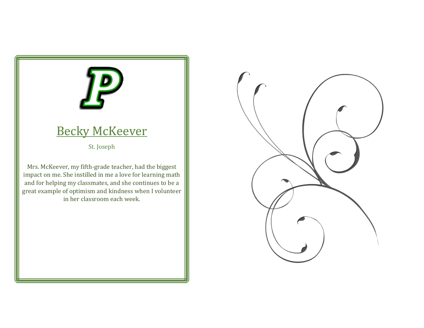# **Becky McKeever** St. Joseph Mrs. McKeever, my fifth-grade teacher, had the biggest

impact on me. She instilled in me a love for learning math and for helping my classmates, and she continues to be a great example of optimism and kindness when I volunteer in her classroom each week.

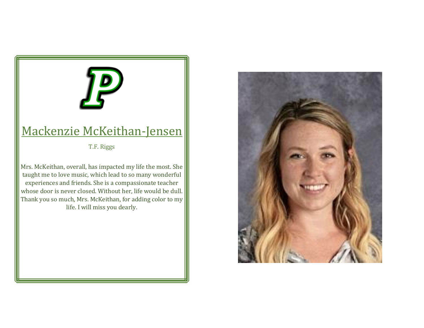#### Mackenzie McKeithan-Jensen

T.F. Riggs

Mrs. McKeithan, overall, has impacted my life the most. She taught me to love music, which lead to so many wonderful experiences and friends. She is a compassionate teacher whose door is never closed. Without her, life would be dull. Thank you so much, Mrs. McKeithan, for adding color to my life. I will miss you dearly.

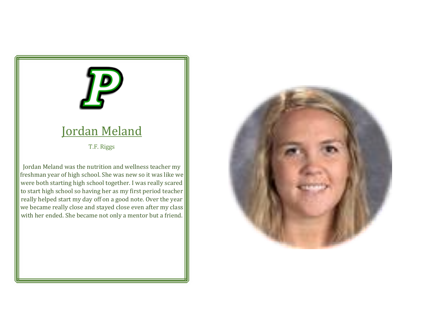#### Jordan Meland

T.F. Riggs

Jordan Meland was the nutrition and wellness teacher my freshman year of high school. She was new so it was like we were both starting high school together. I was really scared to start high school so having her as my first period teacher really helped start my day off on a good note. Over the year we became really close and stayed close even after my class with her ended. She became not only a mentor but a friend.

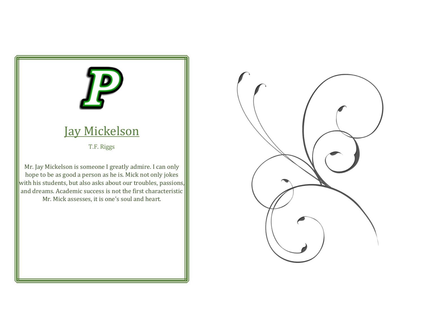

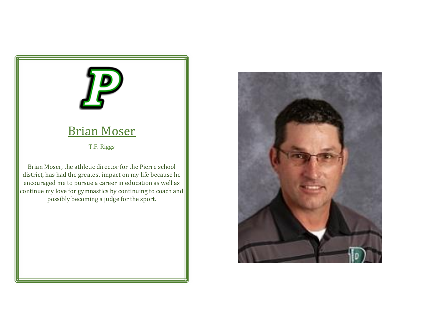# Brian Moser

T.F. Riggs

Brian Moser, the athletic director for the Pierre school district, has had the greatest impact on my life because he encouraged me to pursue a career in education as well as continue my love for gymnastics by continuing to coach and possibly becoming a judge for the sport.

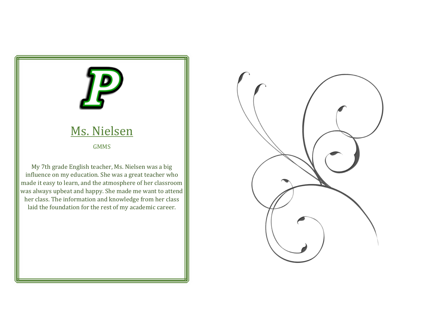

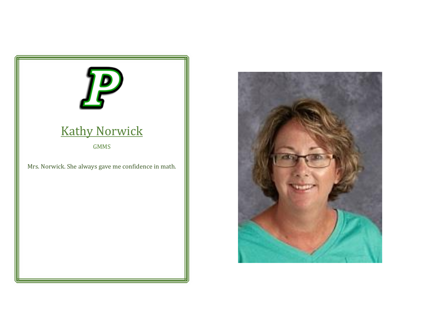

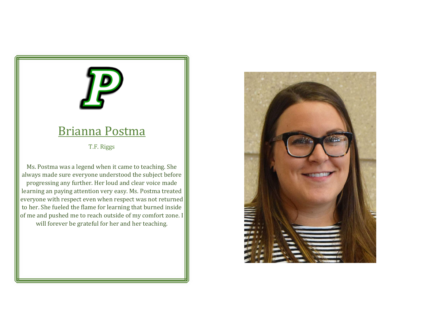#### Brianna Postma

T.F. Riggs

Ms. Postma was a legend when it came to teaching. She always made sure everyone understood the subject before progressing any further. Her loud and clear voice made learning an paying attention very easy. Ms. Postma treated everyone with respect even when respect was not returned to her. She fueled the flame for learning that burned inside of me and pushed me to reach outside of my comfort zone. I will forever be grateful for her and her teaching.

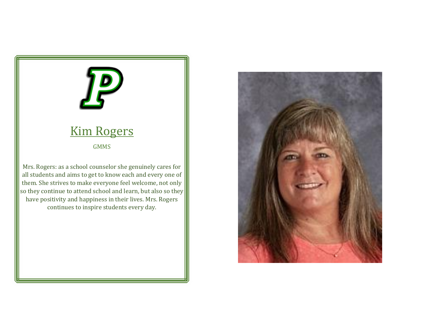## Kim Rogers GMMS Mrs. Rogers: as a school counselor she genuinely cares for all students and aims to get to know each and every one of them. She strives to make everyone feel welcome, not only so they continue to attend school and learn, but also so they have positivity and happiness in their lives. Mrs. Rogers continues to inspire students every day.

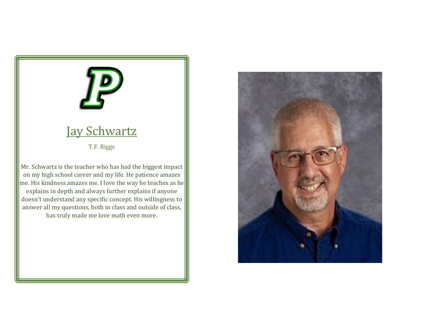# Jay Schwartz

T.F. Riggs

Mr. Schwartz is the teacher who has had the biggest impact on my high school career and my life. He patience amazes me. His kindness amazes me. I love the way he teaches as he explains in depth and always further explains if anyone doesn't understand any specific concept. His willingness to answer all my questions, both in class and outside of class, has truly made me love math even more.

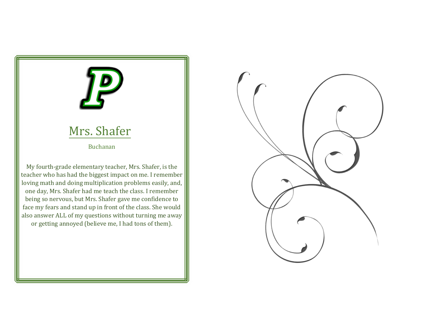## Mrs. Shafer Buchanan My fourth-grade elementary teacher, Mrs. Shafer, is the teacher who has had the biggest impact on me. I remember loving math and doing multiplication problems easily, and, one day, Mrs. Shafer had me teach the class. I remember being so nervous, but Mrs. Shafer gave me confidence to face my fears and stand up in front of the class. She would also answer ALL of my questions without turning me away or getting annoyed (believe me, I had tons of them).

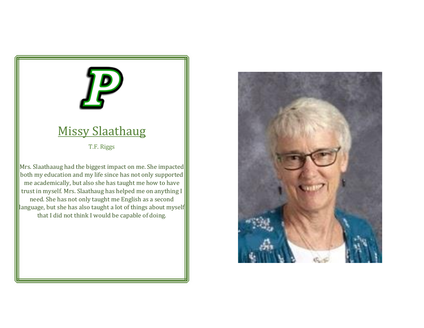## Missy Slaathaug

T.F. Riggs

Mrs. Slaathaaug had the biggest impact on me. She impacted both my education and my life since has not only supported me academically, but also she has taught me how to have trust in myself. Mrs. Slaathaug has helped me on anything I need. She has not only taught me English as a second language, but she has also taught a lot of things about myself that I did not think I would be capable of doing.

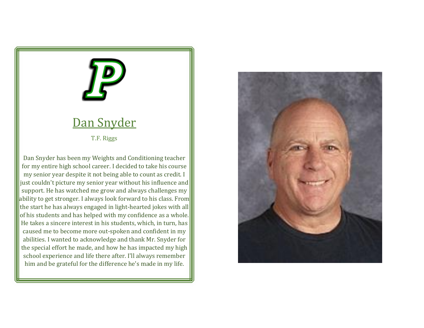

#### Dan Snyder

T.F. Riggs

Dan Snyder has been my Weights and Conditioning teacher for my entire high school career. I decided to take his course my senior year despite it not being able to count as credit. I just couldn't picture my senior year without his influence and support. He has watched me grow and always challenges my ability to get stronger. I always look forward to his class. From the start he has always engaged in light-hearted jokes with all of his students and has helped with my confidence as a whole. He takes a sincere interest in his students, which, in turn, has caused me to become more out-spoken and confident in my abilities. I wanted to acknowledge and thank Mr. Snyder for the special effort he made, and how he has impacted my high school experience and life there after. I'll always remember him and be grateful for the difference he's made in my life.

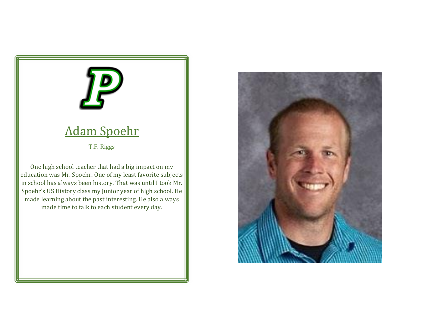#### Adam Spoehr

T.F. Riggs

One high school teacher that had a big impact on my education was Mr. Spoehr. One of my least favorite subjects in school has always been history. That was until I took Mr. Spoehr's US History class my Junior year of high school. He made learning about the past interesting. He also always made time to talk to each student every day.

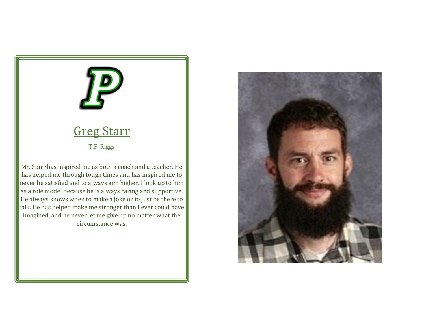

imagined, and he never let me give up no matter what the circumstance was.

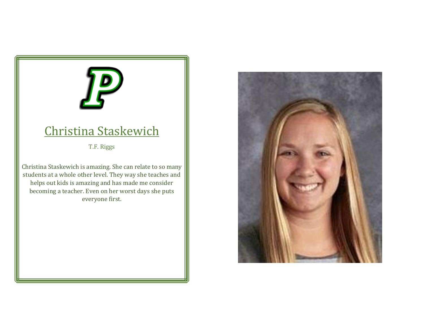#### Christina Staskewich

T.F. Riggs

Christina Staskewich is amazing. She can relate to so many students at a whole other level. They way she teaches and helps out kids is amazing and has made me consider becoming a teacher. Even on her worst days she puts everyone first.

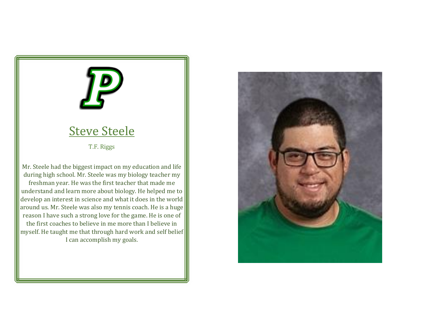## Steve Steele

T.F. Riggs

Mr. Steele had the biggest impact on my education and life during high school. Mr. Steele was my biology teacher my freshman year. He was the first teacher that made me understand and learn more about biology. He helped me to develop an interest in science and what it does in the world around us. Mr. Steele was also my tennis coach. He is a huge reason I have such a strong love for the game. He is one of the first coaches to believe in me more than I believe in myself. He taught me that through hard work and self belief I can accomplish my goals.

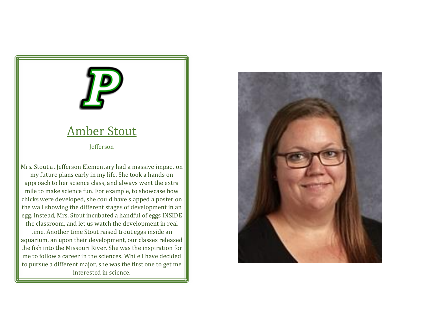#### Amber Stout

Jefferson

Mrs. Stout at Jefferson Elementary had a massive impact on my future plans early in my life. She took a hands on approach to her science class, and always went the extra mile to make science fun. For example, to showcase how chicks were developed, she could have slapped a poster on the wall showing the different stages of development in an egg. Instead, Mrs. Stout incubated a handful of eggs INSIDE the classroom, and let us watch the development in real time. Another time Stout raised trout eggs inside an aquarium, an upon their development, our classes released the fish into the Missouri River. She was the inspiration for me to follow a career in the sciences. While I have decided to pursue a different major, she was the first one to get me interested in science.

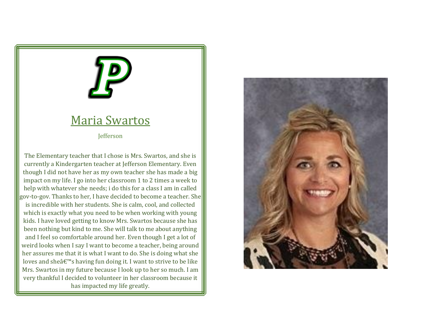#### Maria Swartos

**Jefferson** 

The Elementary teacher that I chose is Mrs. Swartos, and she is currently a Kindergarten teacher at Jefferson Elementary. Even though I did not have her as my own teacher she has made a big impact on my life. I go into her classroom 1 to 2 times a week to help with whatever she needs; i do this for a class I am in called gov-to-gov. Thanks to her, I have decided to become a teacher. She is incredible with her students. She is calm, cool, and collected which is exactly what you need to be when working with young kids. I have loved getting to know Mrs. Swartos because she has been nothing but kind to me. She will talk to me about anything and I feel so comfortable around her. Even though I get a lot of weird looks when I say I want to become a teacher, being around her assures me that it is what I want to do. She is doing what she loves and she $\hat{a} \in \mathbb{N}$ s having fun doing it. I want to strive to be like Mrs. Swartos in my future because I look up to her so much. I am very thankful I decided to volunteer in her classroom because it has impacted my life greatly.

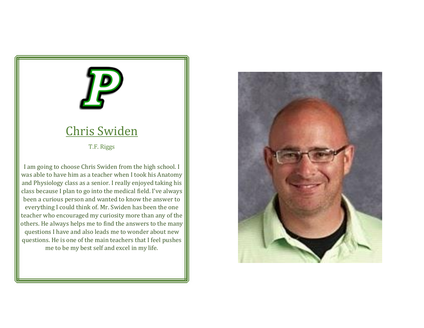## Chris Swiden

T.F. Riggs

I am going to choose Chris Swiden from the high school. I was able to have him as a teacher when I took his Anatomy and Physiology class as a senior. I really enjoyed taking his class because I plan to go into the medical field. I've always been a curious person and wanted to know the answer to everything I could think of. Mr. Swiden has been the one teacher who encouraged my curiosity more than any of the others. He always helps me to find the answers to the many questions I have and also leads me to wonder about new questions. He is one of the main teachers that I feel pushes me to be my best self and excel in my life.

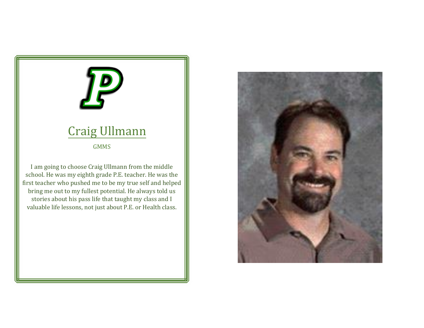## Craig Ullmann

GMMS

I am going to choose Craig Ullmann from the middle school. He was my eighth grade P.E. teacher. He was the first teacher who pushed me to be my true self and helped bring me out to my fullest potential. He always told us stories about his pass life that taught my class and I valuable life lessons, not just about P.E. or Health class.

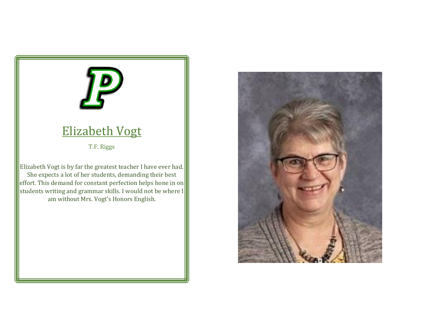# Elizabeth Vogt

T.F. Riggs

Elizabeth Vogt is by far the greatest teacher I have ever had. She expects a lot of her students, demanding their best effort. This demand for constant perfection helps hone in on students writing and grammar skills. I would not be where I am without Mrs. Vogt's Honors English.

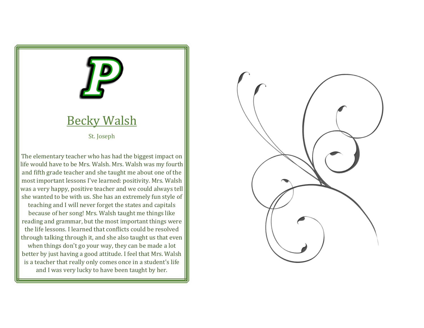

#### Becky Walsh

St. Joseph

The elementary teacher who has had the biggest impact on life would have to be Mrs. Walsh. Mrs. Walsh was my fourth and fifth grade teacher and she taught me about one of the most important lessons I've learned: positivity. Mrs. Walsh was a very happy, positive teacher and we could always tell she wanted to be with us. She has an extremely fun style of

teaching and I will never forget the states and capitals because of her song! Mrs. Walsh taught me things like reading and grammar, but the most important things were the life lessons. I learned that conflicts could be resolved through talking through it, and she also taught us that even when things don't go your way, they can be made a lot better by just having a good attitude. I feel that Mrs. Walsh is a teacher that really only comes once in a student's life and I was very lucky to have been taught by her.

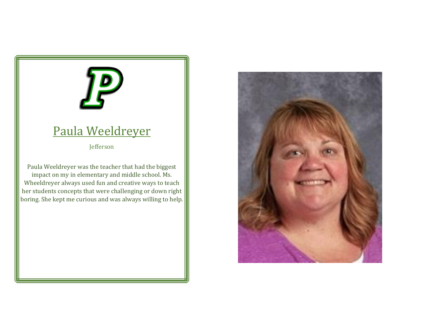## Paula Weeldreyer

Jefferson

Paula Weeldreyer was the teacher that had the biggest impact on my in elementary and middle school. Ms. Wheeldreyer always used fun and creative ways to teach her students concepts that were challenging or down right boring. She kept me curious and was always willing to help.